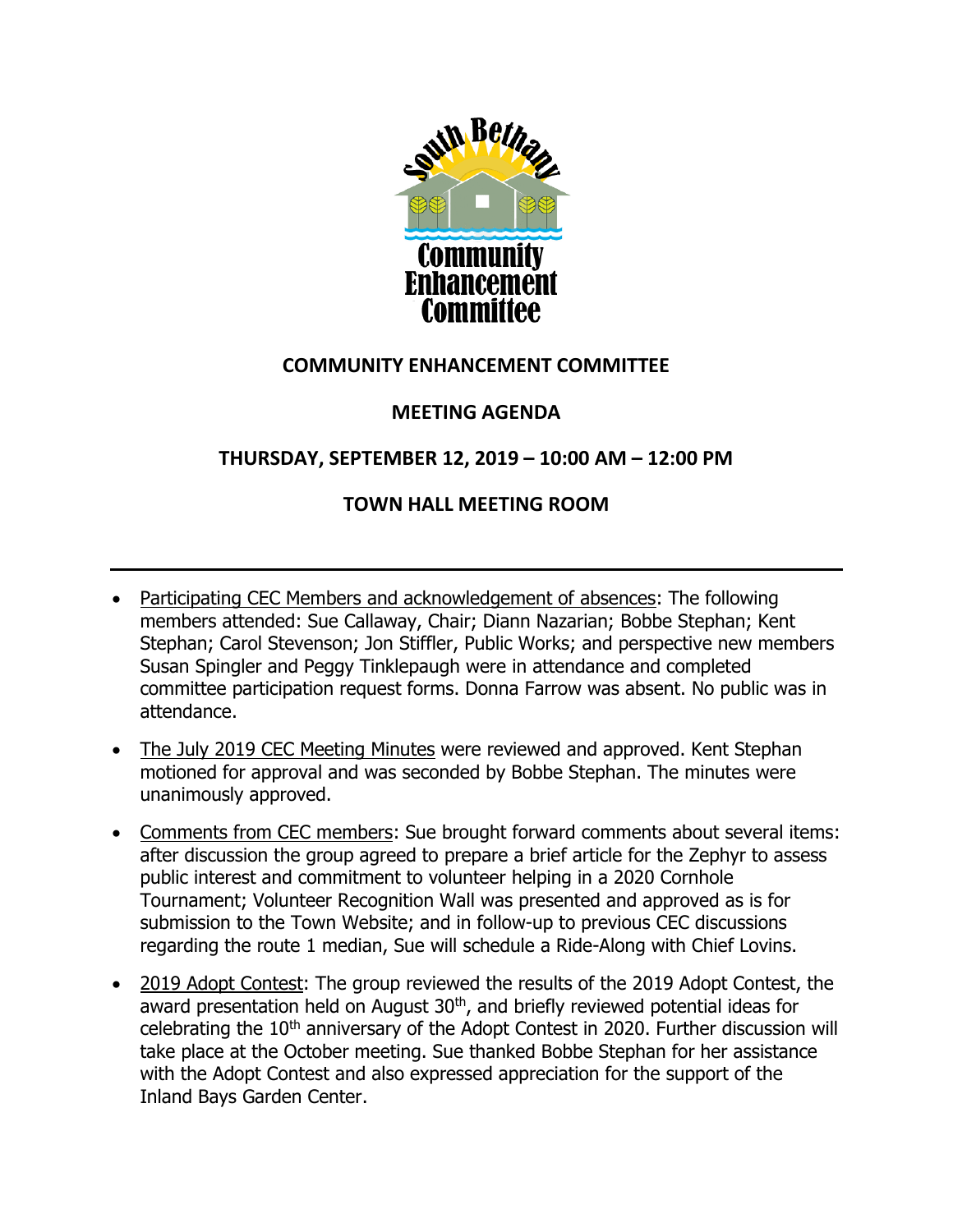

## **COMMUNITY ENHANCEMENT COMMITTEE**

## **MEETING AGENDA**

## **THURSDAY, SEPTEMBER 12, 2019 – 10:00 AM – 12:00 PM**

## **TOWN HALL MEETING ROOM**

- Participating CEC Members and acknowledgement of absences: The following members attended: Sue Callaway, Chair; Diann Nazarian; Bobbe Stephan; Kent Stephan; Carol Stevenson; Jon Stiffler, Public Works; and perspective new members Susan Spingler and Peggy Tinklepaugh were in attendance and completed committee participation request forms. Donna Farrow was absent. No public was in attendance.
- The July 2019 CEC Meeting Minutes were reviewed and approved. Kent Stephan motioned for approval and was seconded by Bobbe Stephan. The minutes were unanimously approved.
- Comments from CEC members: Sue brought forward comments about several items: after discussion the group agreed to prepare a brief article for the Zephyr to assess public interest and commitment to volunteer helping in a 2020 Cornhole Tournament; Volunteer Recognition Wall was presented and approved as is for submission to the Town Website; and in follow-up to previous CEC discussions regarding the route 1 median, Sue will schedule a Ride-Along with Chief Lovins.
- 2019 Adopt Contest: The group reviewed the results of the 2019 Adopt Contest, the award presentation held on August 30<sup>th</sup>, and briefly reviewed potential ideas for celebrating the 10<sup>th</sup> anniversary of the Adopt Contest in 2020. Further discussion will take place at the October meeting. Sue thanked Bobbe Stephan for her assistance with the Adopt Contest and also expressed appreciation for the support of the Inland Bays Garden Center.